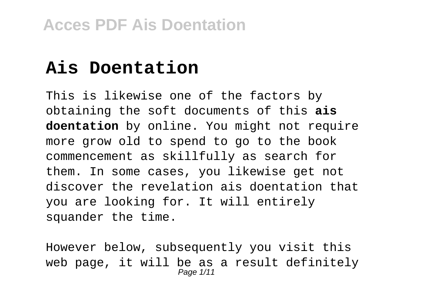## **Ais Doentation**

This is likewise one of the factors by obtaining the soft documents of this **ais doentation** by online. You might not require more grow old to spend to go to the book commencement as skillfully as search for them. In some cases, you likewise get not discover the revelation ais doentation that you are looking for. It will entirely squander the time.

However below, subsequently you visit this web page, it will be as a result definitely Page 1/11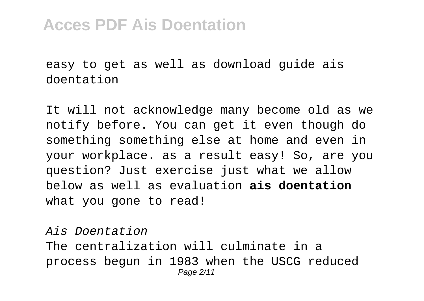easy to get as well as download guide ais doentation

It will not acknowledge many become old as we notify before. You can get it even though do something something else at home and even in your workplace. as a result easy! So, are you question? Just exercise just what we allow below as well as evaluation **ais doentation** what you gone to read!

Ais Doentation The centralization will culminate in a process begun in 1983 when the USCG reduced Page 2/11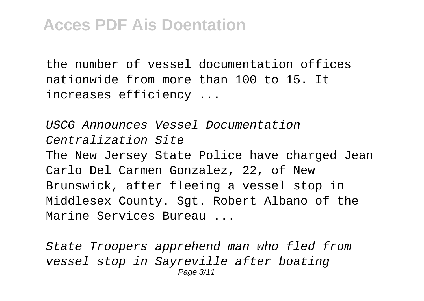the number of vessel documentation offices nationwide from more than 100 to 15. It increases efficiency ...

USCG Announces Vessel Documentation Centralization Site The New Jersey State Police have charged Jean Carlo Del Carmen Gonzalez, 22, of New Brunswick, after fleeing a vessel stop in Middlesex County. Sgt. Robert Albano of the Marine Services Bureau ...

State Troopers apprehend man who fled from vessel stop in Sayreville after boating Page 3/11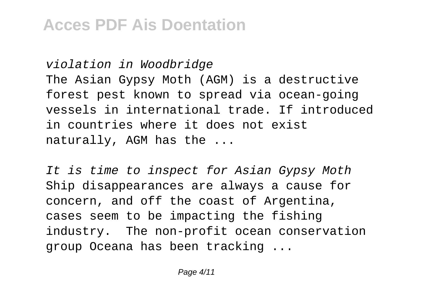violation in Woodbridge The Asian Gypsy Moth (AGM) is a destructive forest pest known to spread via ocean-going vessels in international trade. If introduced in countries where it does not exist naturally, AGM has the ...

It is time to inspect for Asian Gypsy Moth Ship disappearances are always a cause for concern, and off the coast of Argentina, cases seem to be impacting the fishing industry. The non-profit ocean conservation group Oceana has been tracking ...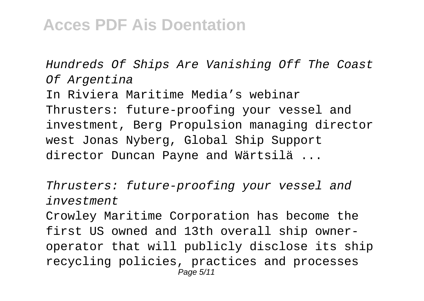Hundreds Of Ships Are Vanishing Off The Coast Of Argentina

In Riviera Maritime Media's webinar Thrusters: future-proofing your vessel and investment, Berg Propulsion managing director west Jonas Nyberg, Global Ship Support director Duncan Payne and Wärtsilä ...

Thrusters: future-proofing your vessel and investment

Crowley Maritime Corporation has become the first US owned and 13th overall ship owneroperator that will publicly disclose its ship recycling policies, practices and processes Page 5/11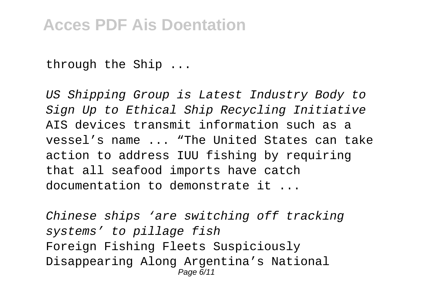through the Ship ...

US Shipping Group is Latest Industry Body to Sign Up to Ethical Ship Recycling Initiative AIS devices transmit information such as a vessel's name ... "The United States can take action to address IUU fishing by requiring that all seafood imports have catch documentation to demonstrate it ...

Chinese ships 'are switching off tracking systems' to pillage fish Foreign Fishing Fleets Suspiciously Disappearing Along Argentina's National Page 6/11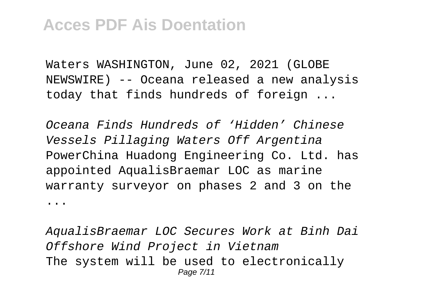Waters WASHINGTON, June 02, 2021 (GLOBE NEWSWIRE) -- Oceana released a new analysis today that finds hundreds of foreign ...

Oceana Finds Hundreds of 'Hidden' Chinese Vessels Pillaging Waters Off Argentina PowerChina Huadong Engineering Co. Ltd. has appointed AqualisBraemar LOC as marine warranty surveyor on phases 2 and 3 on the ...

AqualisBraemar LOC Secures Work at Binh Dai Offshore Wind Project in Vietnam The system will be used to electronically Page 7/11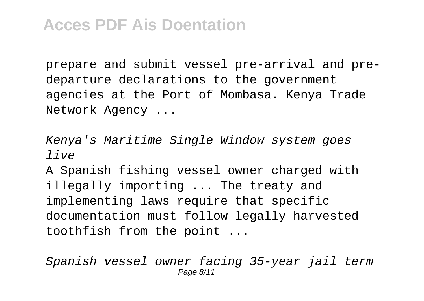prepare and submit vessel pre-arrival and predeparture declarations to the government agencies at the Port of Mombasa. Kenya Trade Network Agency ...

Kenya's Maritime Single Window system goes live

A Spanish fishing vessel owner charged with illegally importing ... The treaty and implementing laws require that specific documentation must follow legally harvested toothfish from the point ...

Spanish vessel owner facing 35-year jail term Page 8/11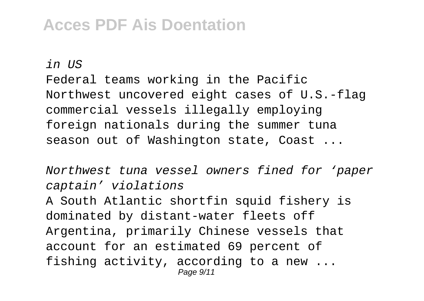$in$   $\overline{U}S$ 

Federal teams working in the Pacific Northwest uncovered eight cases of U.S.-flag commercial vessels illegally employing foreign nationals during the summer tuna season out of Washington state, Coast ...

Northwest tuna vessel owners fined for 'paper captain' violations A South Atlantic shortfin squid fishery is dominated by distant-water fleets off Argentina, primarily Chinese vessels that account for an estimated 69 percent of fishing activity, according to a new ... Page  $9/11$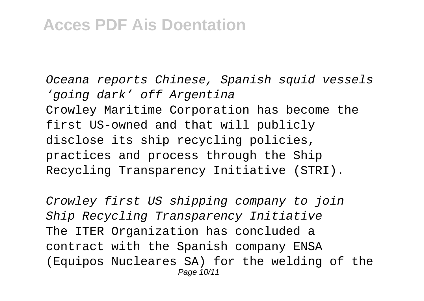Oceana reports Chinese, Spanish squid vessels 'going dark' off Argentina Crowley Maritime Corporation has become the first US-owned and that will publicly disclose its ship recycling policies, practices and process through the Ship Recycling Transparency Initiative (STRI).

Crowley first US shipping company to join Ship Recycling Transparency Initiative The ITER Organization has concluded a contract with the Spanish company ENSA (Equipos Nucleares SA) for the welding of the Page 10/11